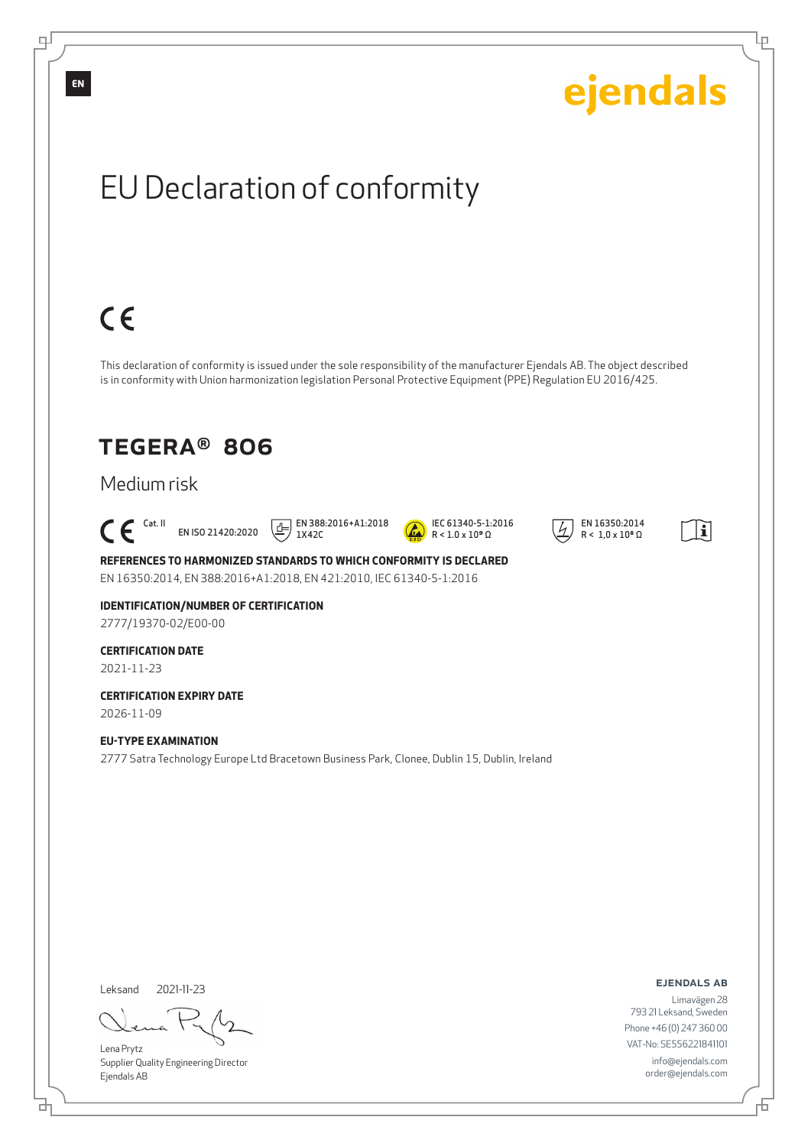

Supplier Quality Engineering Director Ejendals AB

đ

info@ejendals.com order@ejendals.com

டி

舌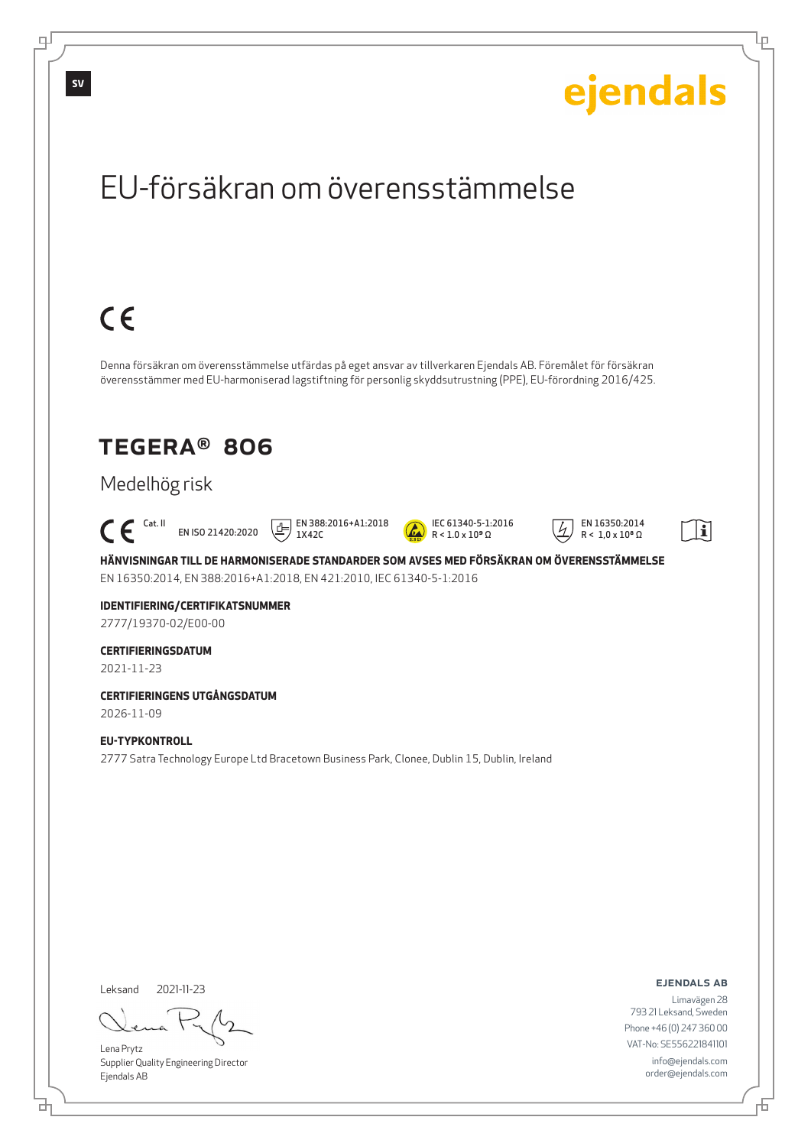

Lena Prytz Supplier Quality Engineering Director Ejendals AB

<u>다</u>

டி

793 21 Leksand, Sweden Phone +46 (0) 247 360 00 VAT-No: SE556221841101 info@ejendals.com order@ejendals.com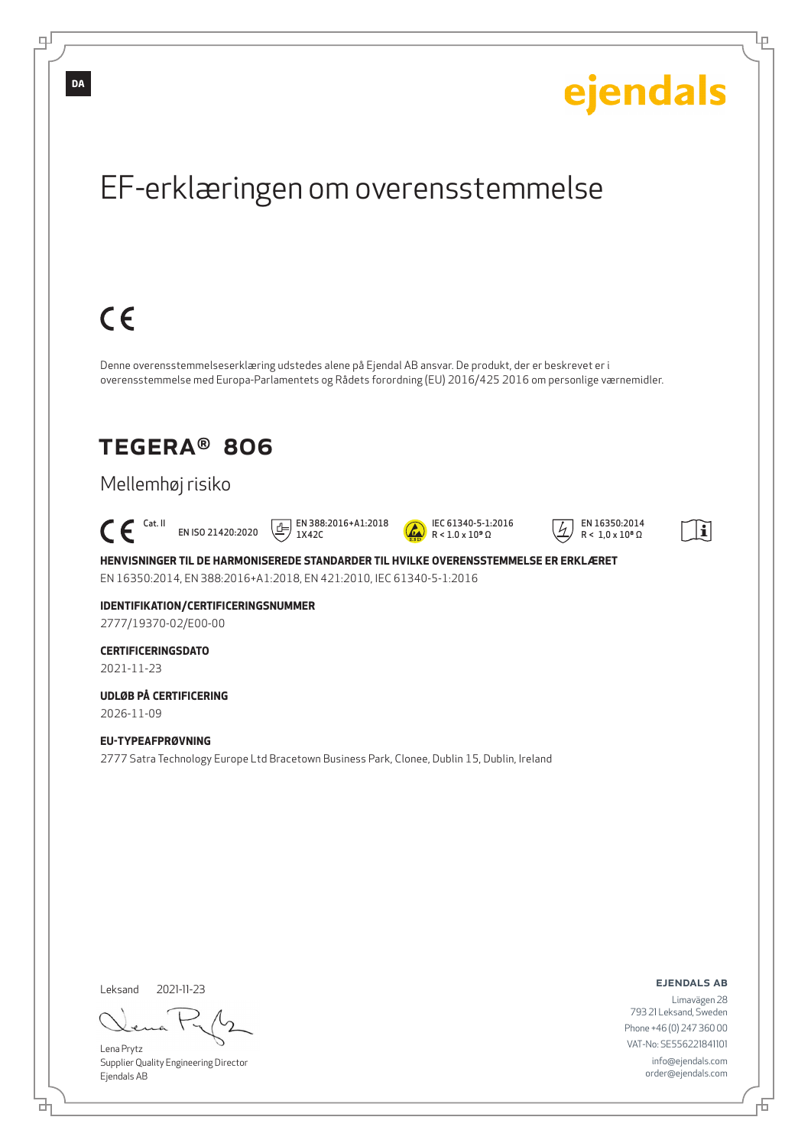

Đ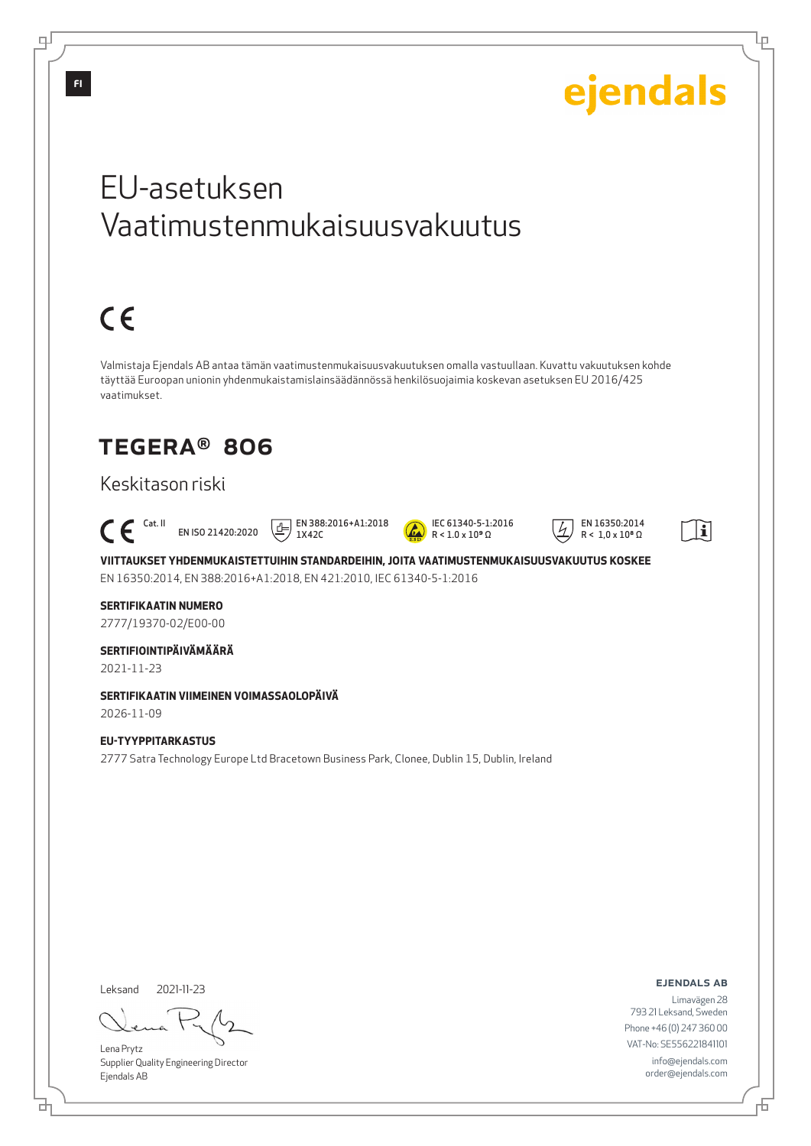

Leksand 2021-11-23

브

Lena Prytz Supplier Quality Engineering Director Ejendals AB

ejendals ab

Limavägen 28 793 21 Leksand, Sweden Phone +46 (0) 247 360 00 VAT-No: SE556221841101 info@ejendals.com order@ejendals.com

Đ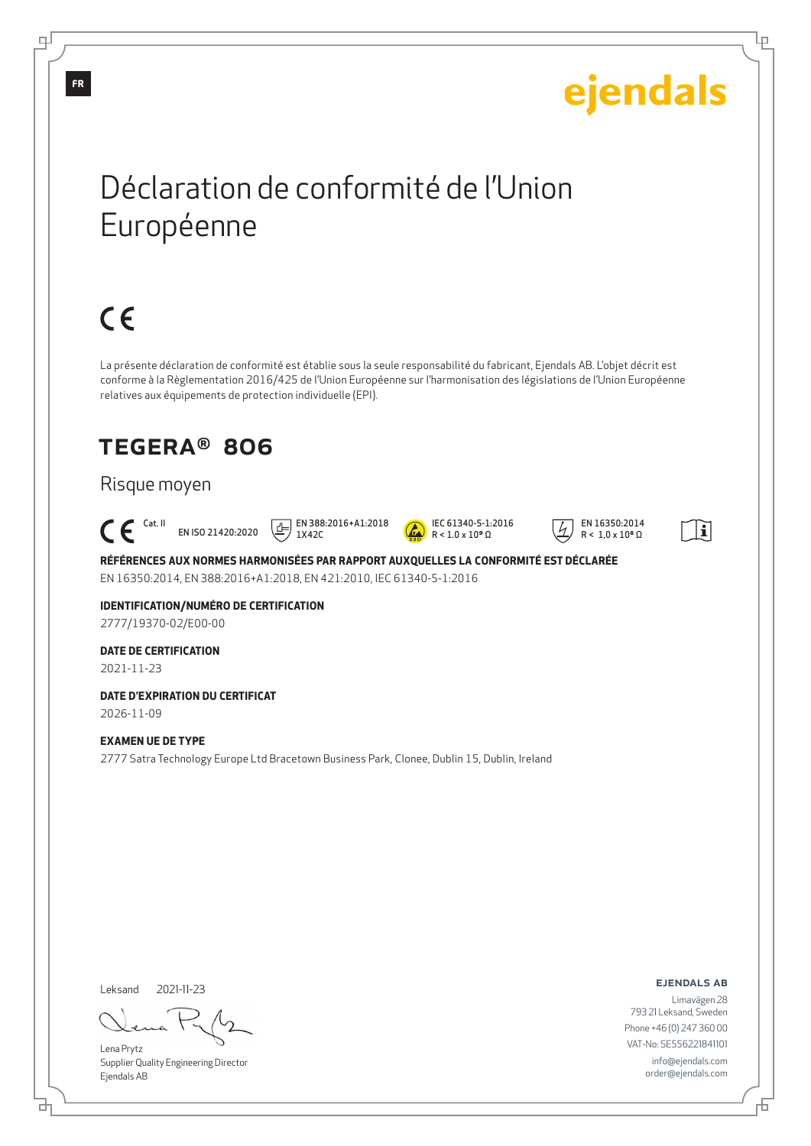# ejendals

Ļμ

## Déclaration de conformité de l'Union Européenne

# $C \in$

La présente déclaration de conformité est établie sous la seule responsabilité du fabricant, Ejendals AB. L'objet décrit est conforme à la Règlementation 2016/425 de l'Union Européenne sur l'harmonisation des législations de l'Union Européenne relatives aux équipements de protection individuelle (EPI).

### TEGERA® 806

### Risque moyen

 $\epsilon$ EN ISO 21420:2020

 EN 388:2016+A1:2018 1X42C



 EN 16350:2014  $R < 1.0 \times 10^8 \Omega$ 



**RÉFÉRENCES AUX NORMES HARMONISÉES PAR RAPPORT AUXQUELLES LA CONFORMITÉ EST DÉCLARÉE** EN 16350:2014, EN 388:2016+A1:2018, EN 421:2010, IEC 61340-5-1:2016

**IDENTIFICATION/NUMÉRO DE CERTIFICATION** 2777/19370-02/E00-00

### **DATE DE CERTIFICATION**

2021-11-23

**DATE D'EXPIRATION DU CERTIFICAT** 2026-11-09

#### **EXAMEN UE DE TYPE**

2777 Satra Technology Europe Ltd Bracetown Business Park, Clonee, Dublin 15, Dublin, Ireland

Leksand 2021-11-23

Lena Prytz Supplier Quality Engineering Director Ejendals AB

ejendals ab

Đ

Limavägen 28 793 21 Leksand, Sweden Phone +46 (0) 247 360 00 VAT-No: SE556221841101 info@ejendals.com order@ejendals.com

டி

**FR**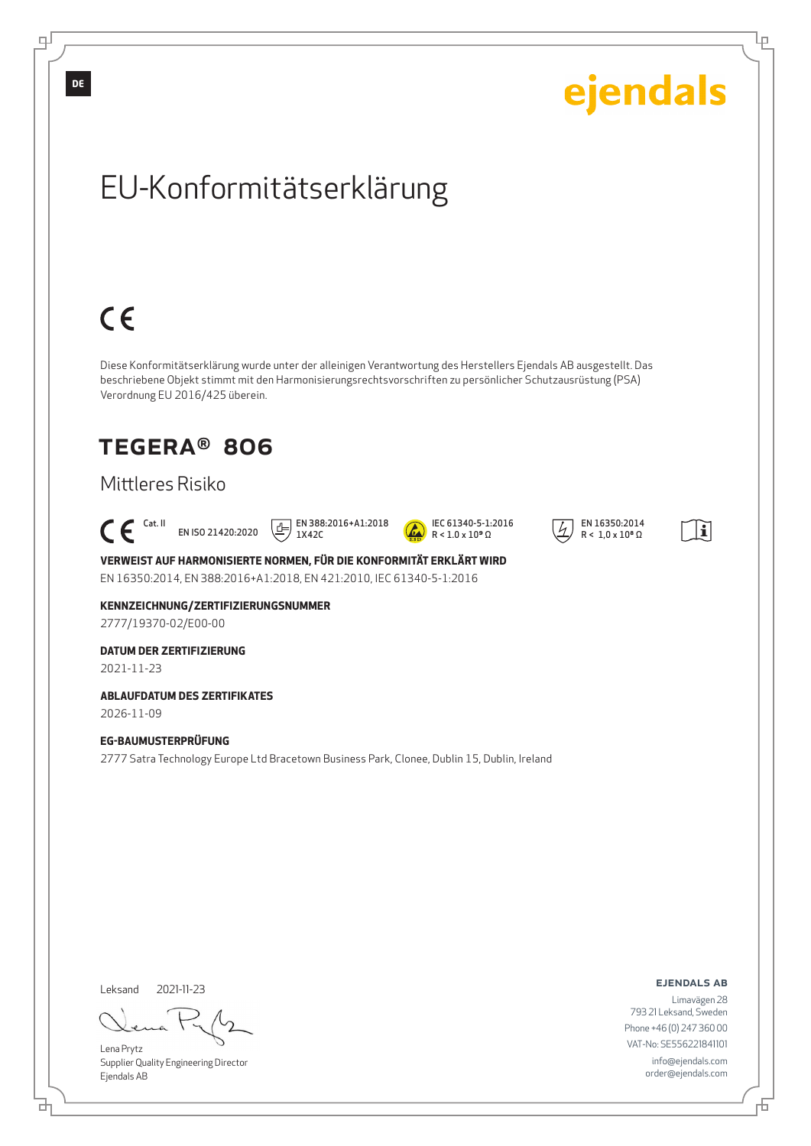

Supplier Quality Engineering Director Ejendals AB

<u>다</u>

order@ejendals.com

舌

Ļμ

டி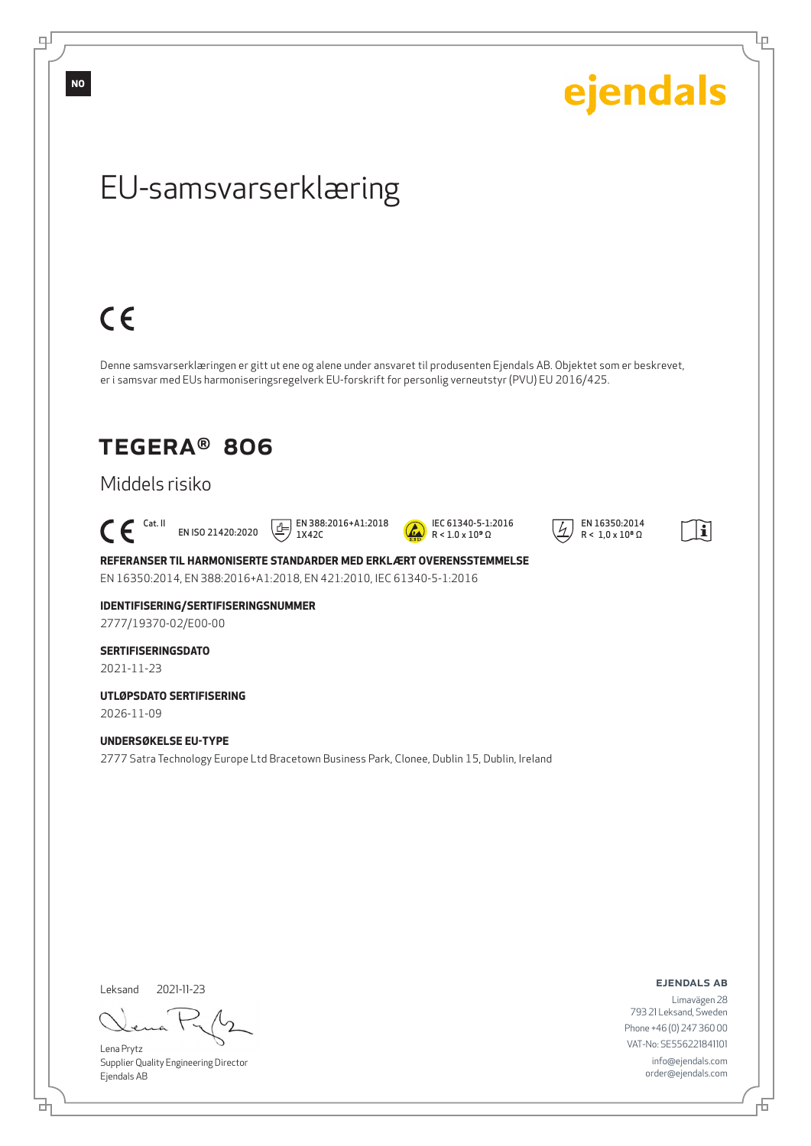**NO**

டி

ejendals

Ļμ

### EU-samsvarserklæring

# $C \in$

Denne samsvarserklæringen er gitt ut ene og alene under ansvaret til produsenten Ejendals AB. Objektet som er beskrevet, er i samsvar med EUs harmoniseringsregelverk EU-forskrift for personlig verneutstyr (PVU) EU 2016/425.

### TEGERA® 806

### Middels risiko

#### $\mathsf{C}\boldsymbol{\mathsf{F}}$ <sup>Cat. II</sup> EN ISO 21420:2020

 $\boxed{1}$  EN 388:2016+A1:2018 1X42C



 EN 16350:2014  $R < 1.0 \times 10^8 \Omega$ 



**REFERANSER TIL HARMONISERTE STANDARDER MED ERKLÆRT OVERENSSTEMMELSE** EN 16350:2014, EN 388:2016+A1:2018, EN 421:2010, IEC 61340-5-1:2016

**IDENTIFISERING/SERTIFISERINGSNUMMER** 2777/19370-02/E00-00

#### **SERTIFISERINGSDATO** 2021-11-23

**UTLØPSDATO SERTIFISERING** 2026-11-09

**UNDERSØKELSE EU-TYPE** 2777 Satra Technology Europe Ltd Bracetown Business Park, Clonee, Dublin 15, Dublin, Ireland

Leksand 2021-11-23

<u>다</u>

Lena Prytz Supplier Quality Engineering Director Ejendals AB

ejendals ab

舌

Limavägen 28 793 21 Leksand, Sweden Phone +46 (0) 247 360 00 VAT-No: SE556221841101 info@ejendals.com order@ejendals.com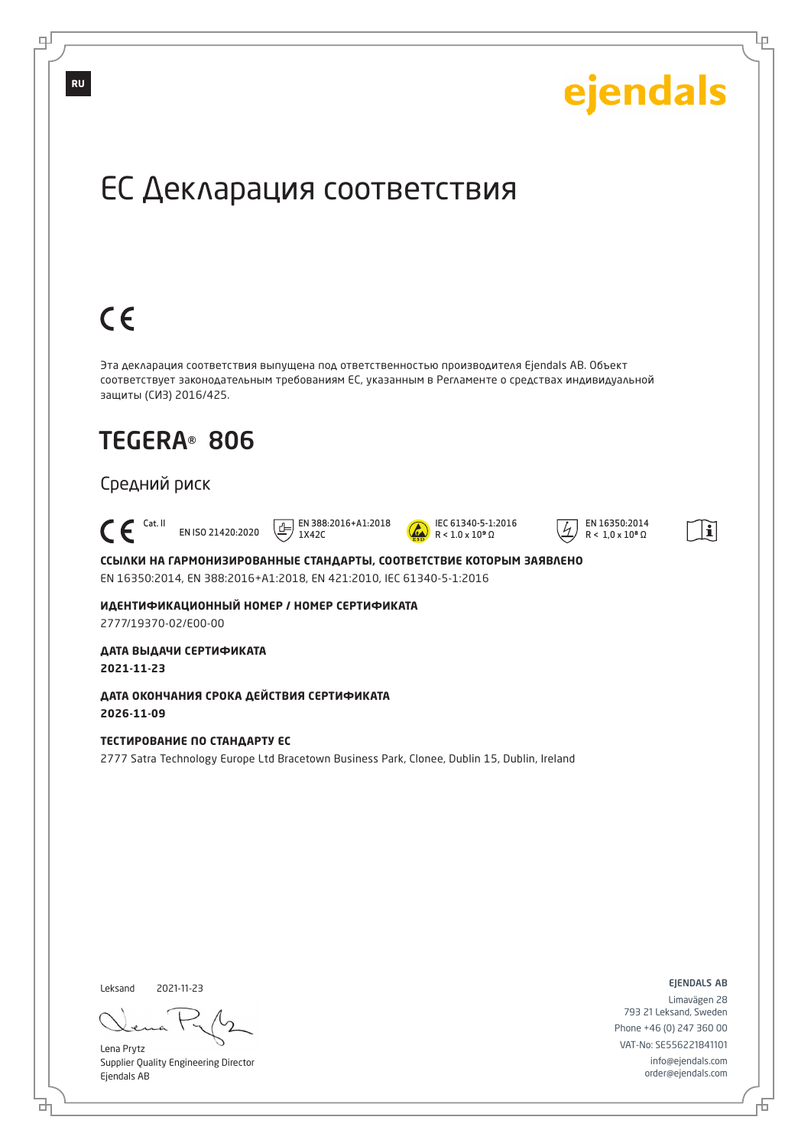

브

舌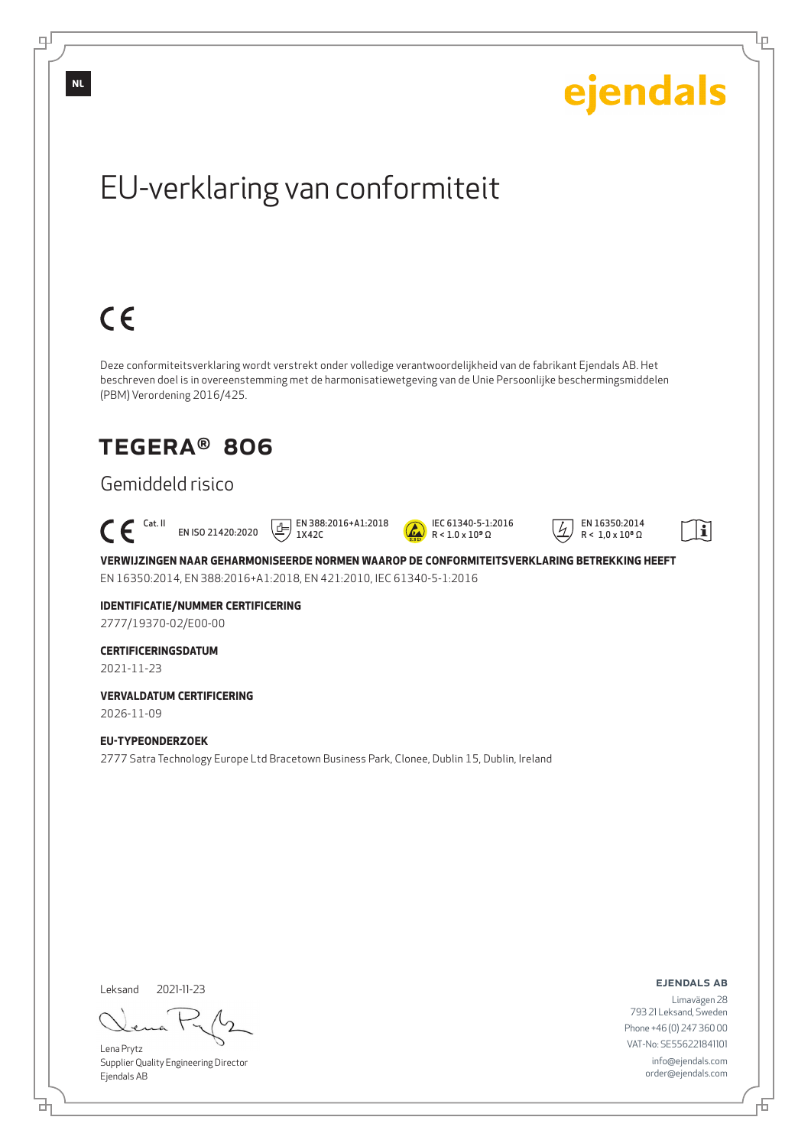

Supplier Quality Engineering Director Ejendals AB

டி

Ļμ

order@ejendals.com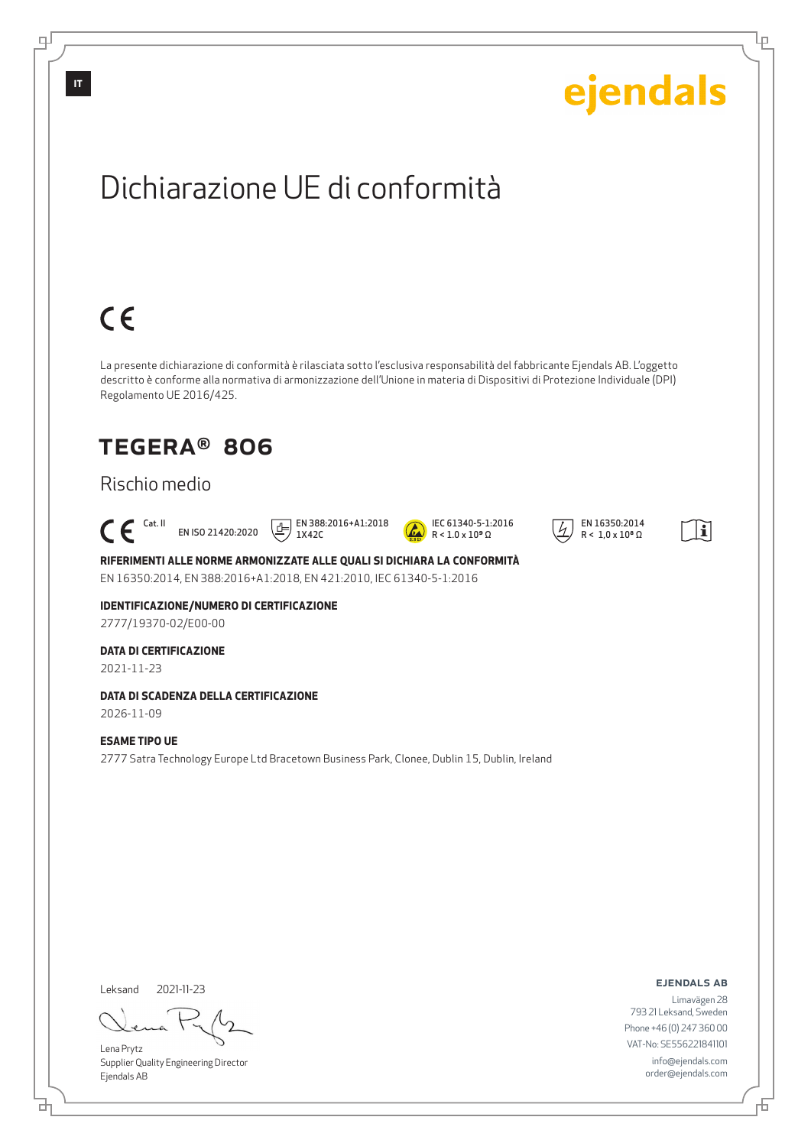

цſ

<u>다</u>

舌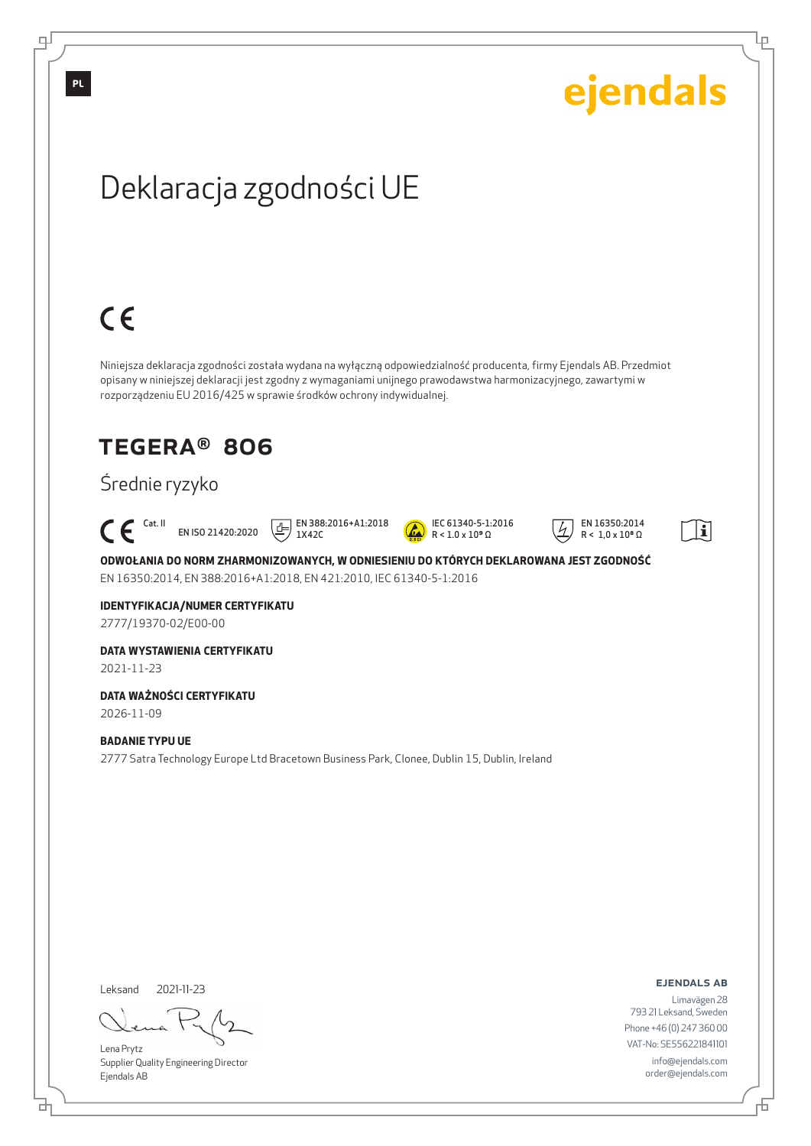

டி

Lena Prytz Supplier Quality Engineering Director Ejendals AB

브

Đ

Ļμ

Phone +46 (0) 247 360 00 VAT-No: SE556221841101 info@ejendals.com order@ejendals.com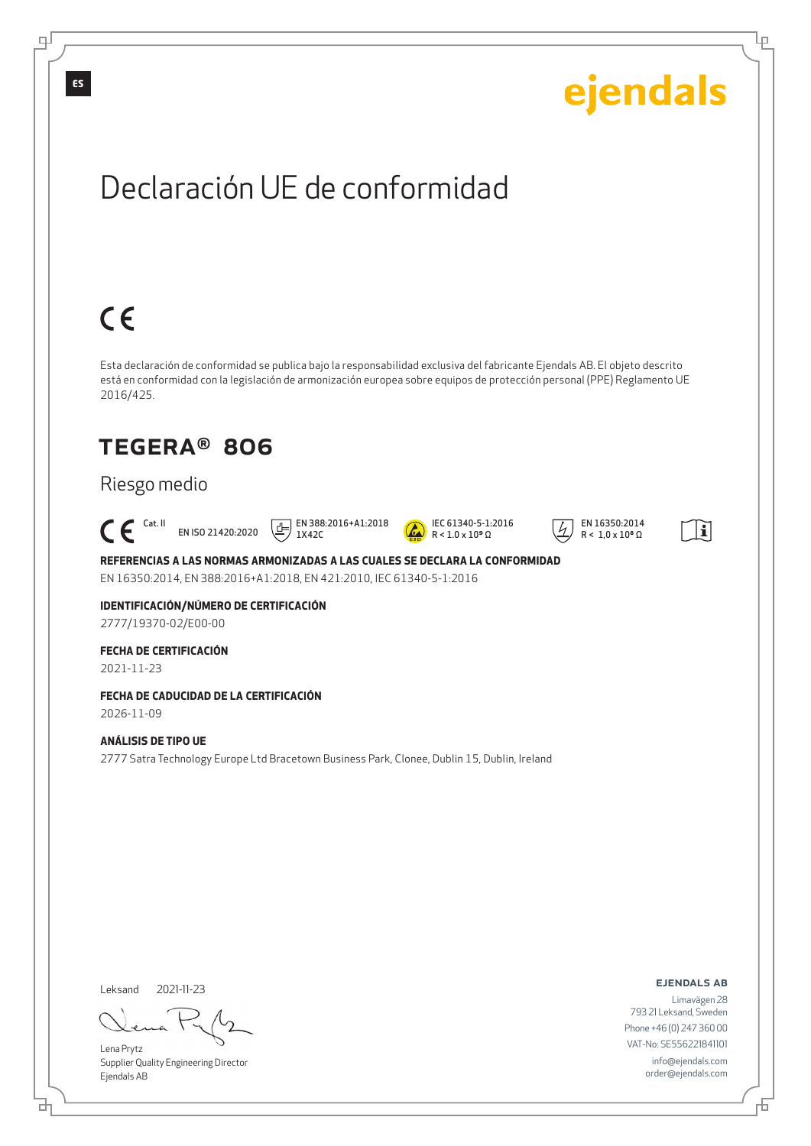

Leksand 2021-11-23

<u>다</u>

டி

Lena Prytz Supplier Quality Engineering Director Ejendals AB

ejendals ab

Limavägen 28 793 21 Leksand, Sweden Phone +46 (0) 247 360 00 VAT-No: SE556221841101 info@ejendals.com order@ejendals.com

Đ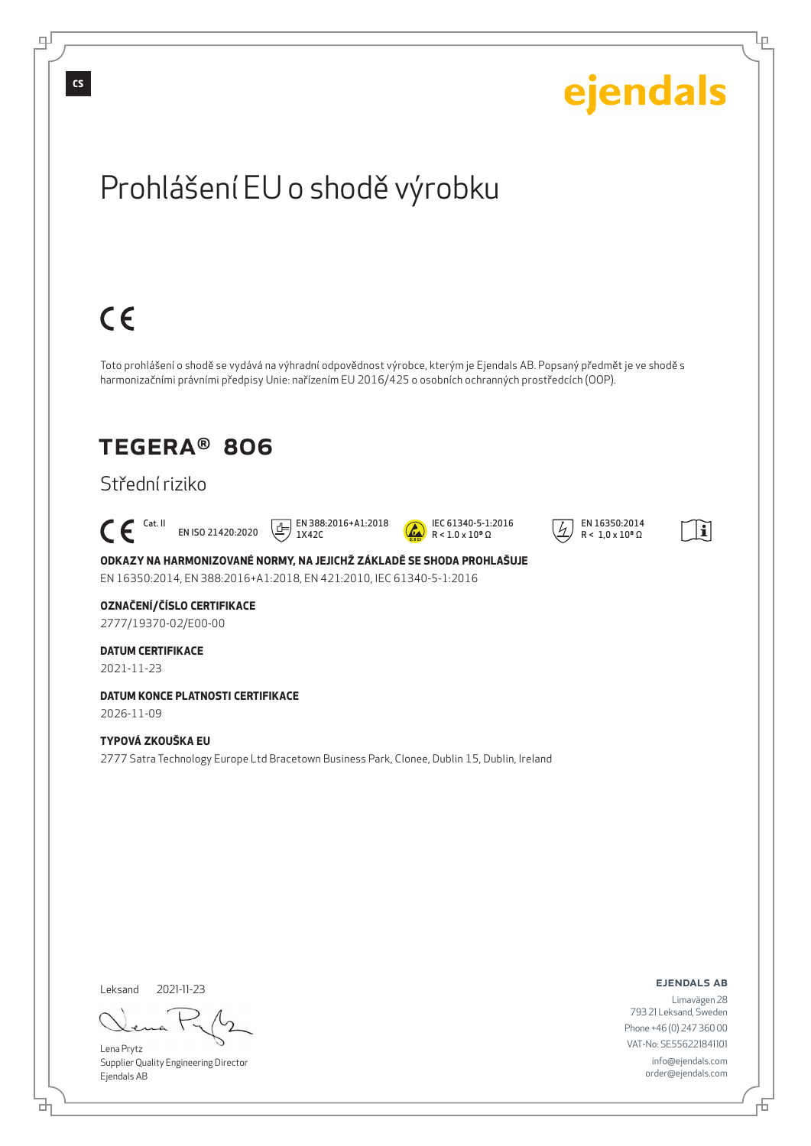

டி

<u>다</u>

舌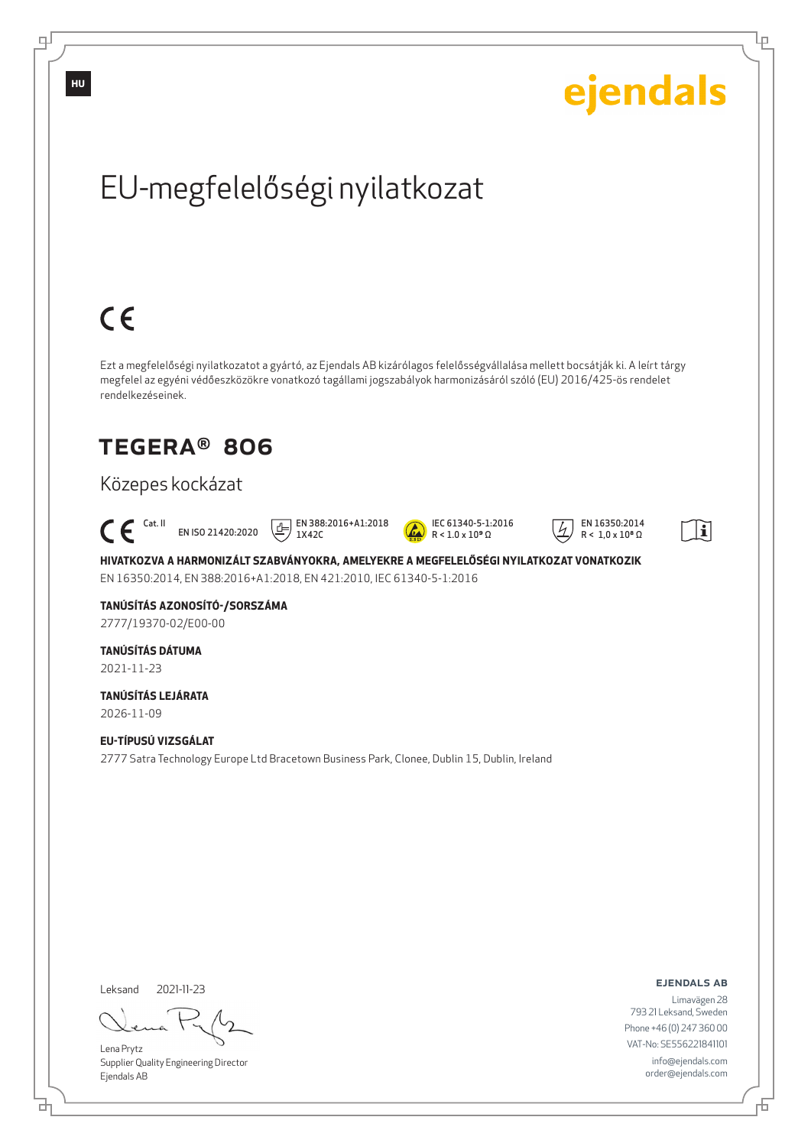

Lena Prytz Supplier Quality Engineering Director Ejendals AB

브

டி

order@ejendals.com

Đ

Ļμ

info@ejendals.com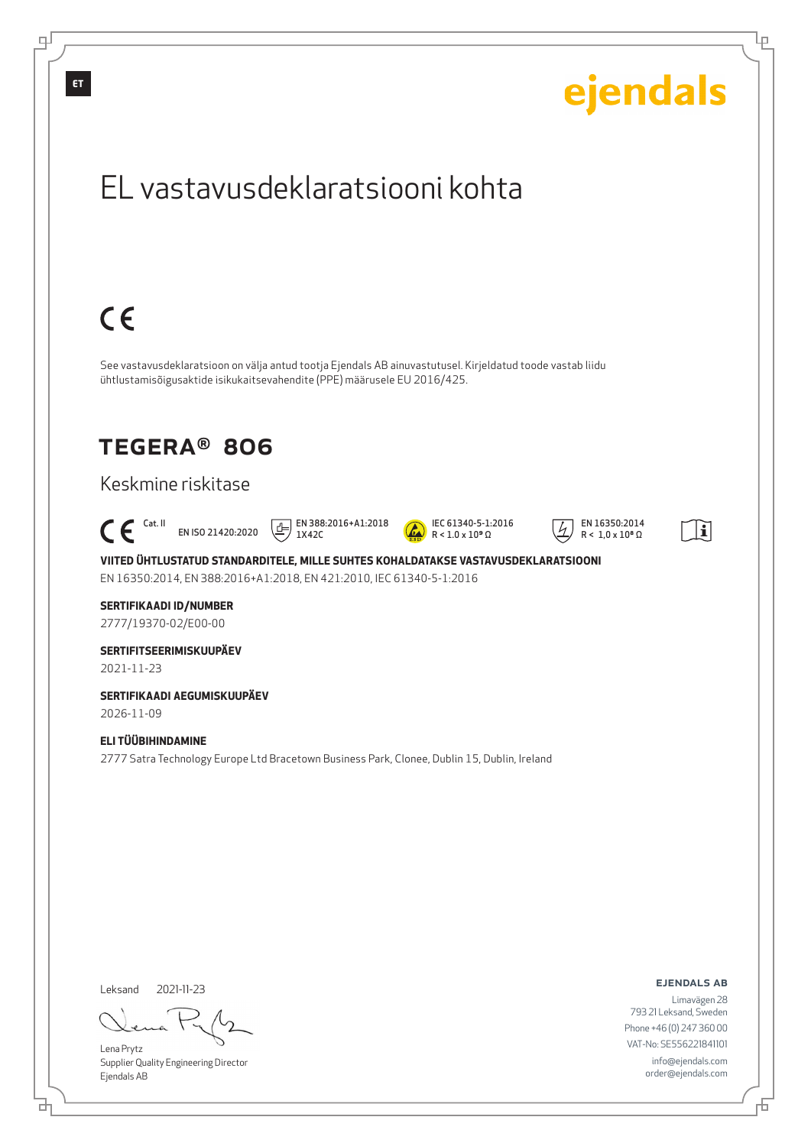

<u>다</u>

舌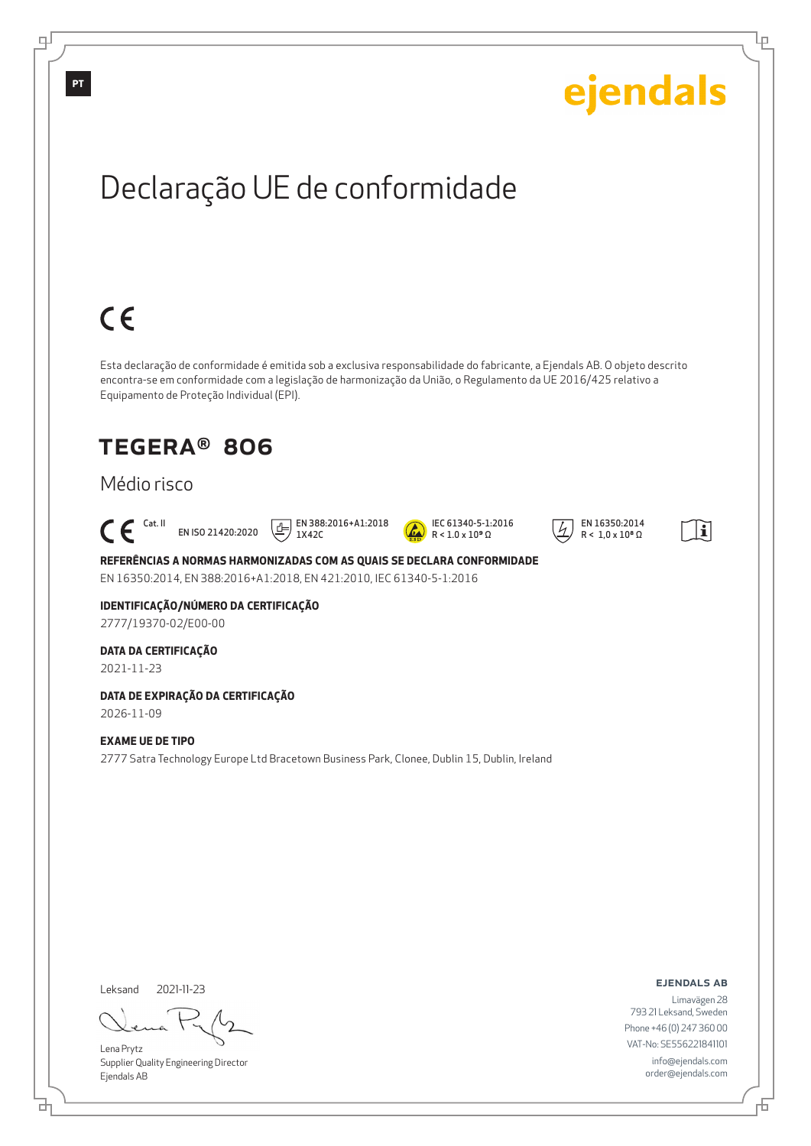

<u>다</u>

டி

Đ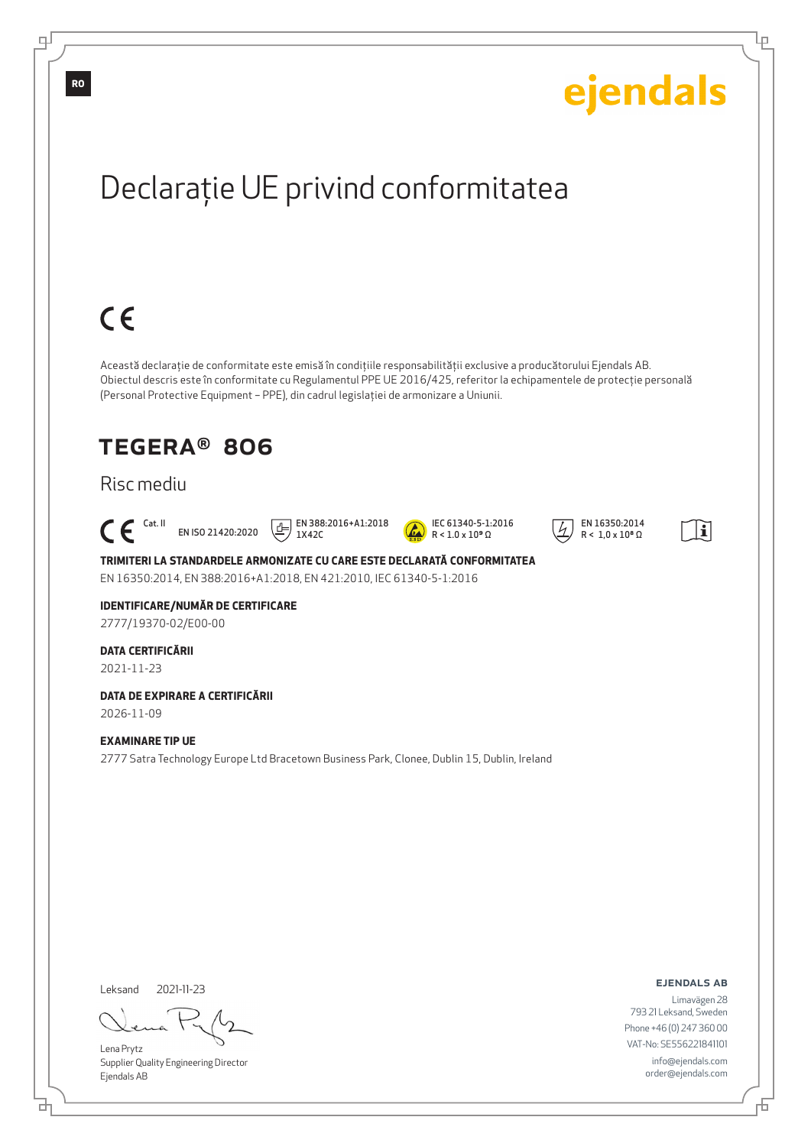

Lena Prytz Supplier Quality Engineering Director Ejendals AB

브

VAT-No: SE556221841101

Đ

Ļμ

info@ejendals.com order@ejendals.com

டி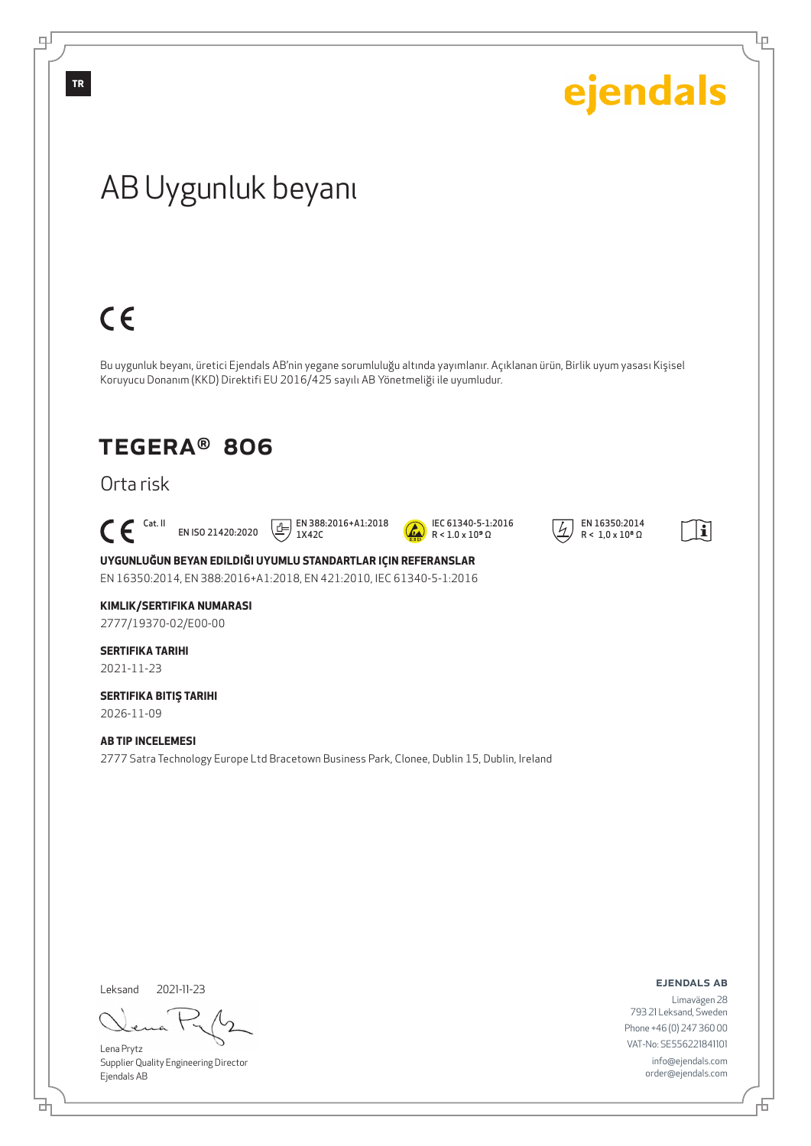

đ

舌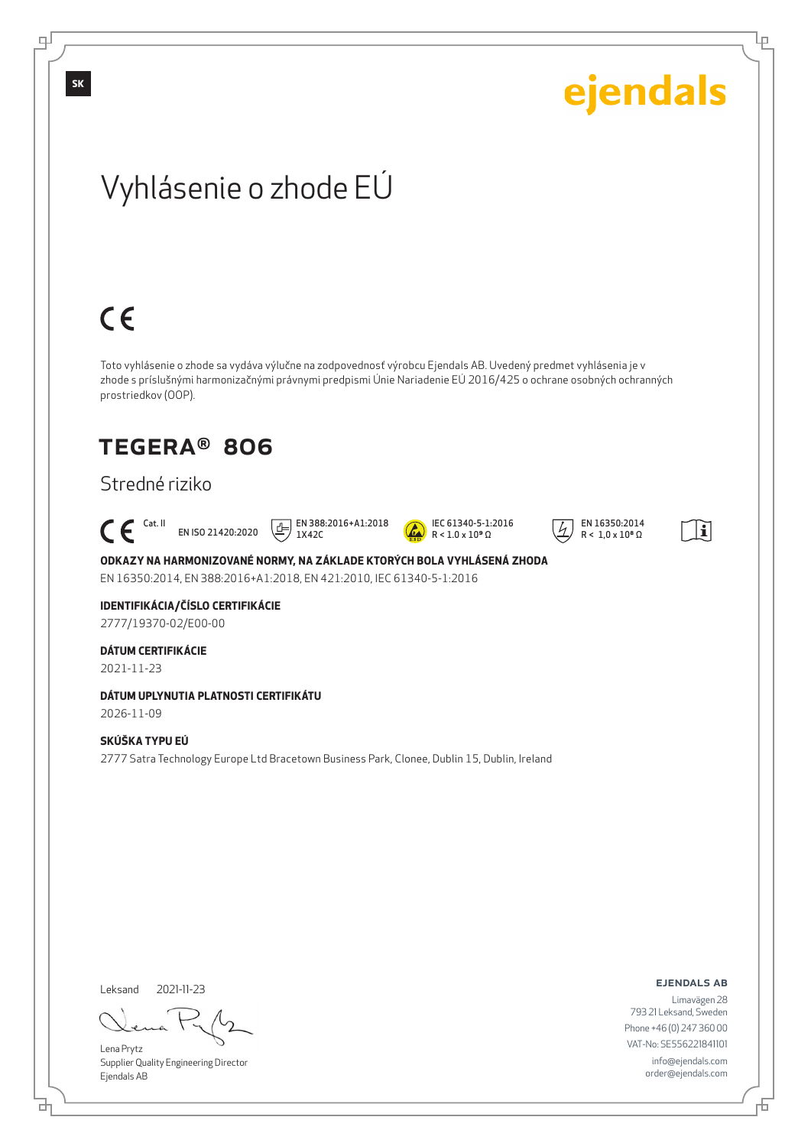

Leksand 2021-11-23

<u>다</u>

Lena Prytz Supplier Quality Engineering Director Ejendals AB

ejendals ab

Ļμ

Limavägen 28 793 21 Leksand, Sweden Phone +46 (0) 247 360 00 VAT-No: SE556221841101 info@ejendals.com order@ejendals.com

Đ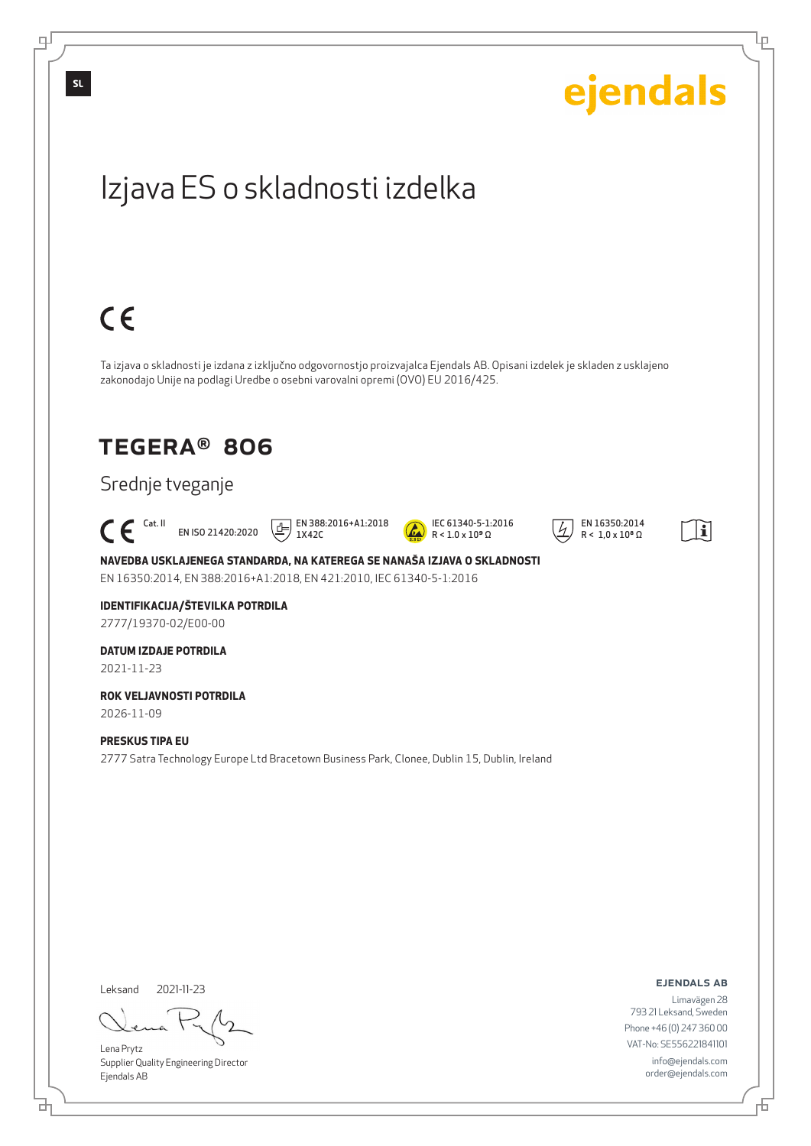

цſ

<u>다</u>

Đ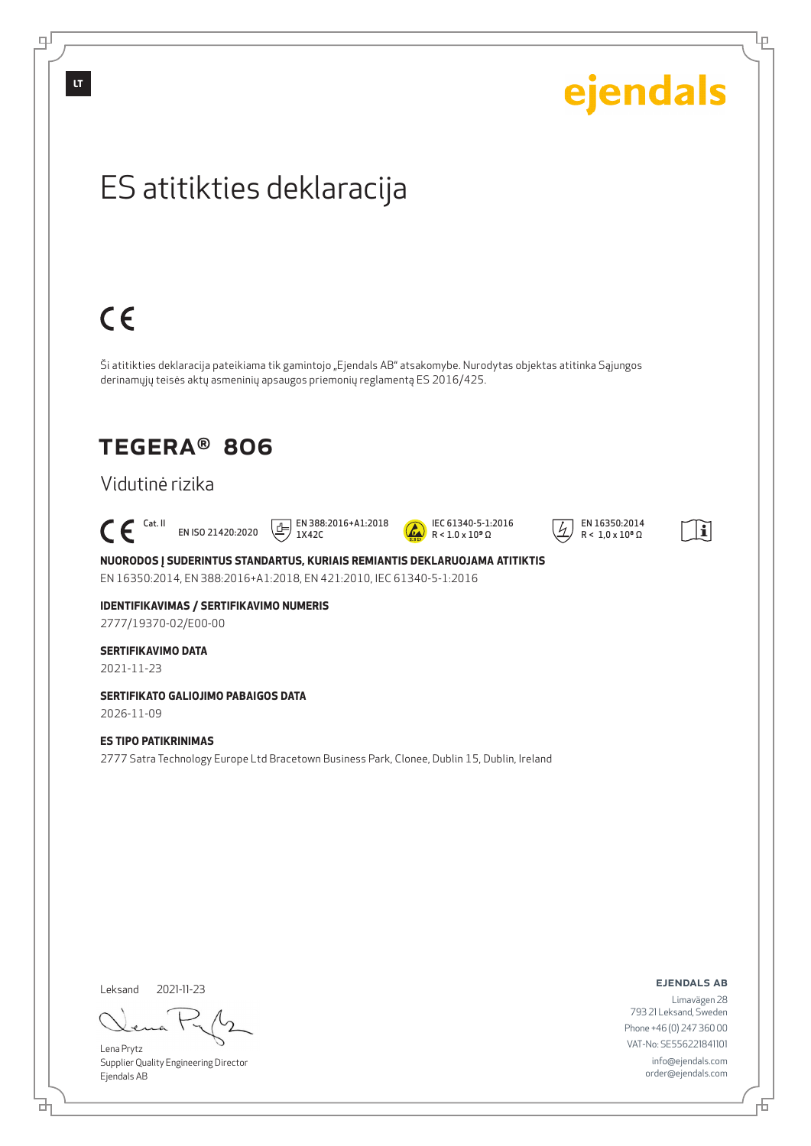டி

| ejendals                                                                                                                                                                                         |
|--------------------------------------------------------------------------------------------------------------------------------------------------------------------------------------------------|
| ES atitikties deklaracija                                                                                                                                                                        |
|                                                                                                                                                                                                  |
| $C \in$                                                                                                                                                                                          |
| Ši atitikties deklaracija pateikiama tik gamintojo "Ejendals AB" atsakomybe. Nurodytas objektas atitinka Sąjungos<br>derinamųjų teisės aktų asmeninių apsaugos priemonių reglamentą ES 2016/425. |
| <b>TEGERA® 806</b>                                                                                                                                                                               |

### Vidutinė rizika

 $\mathsf{C}\,\mathsf{C}$ <sup>Cat. II</sup> EN ISO 21420:2020

 $\boxed{1}$  EN 388:2016+A1:2018 1X42C



 $\overline{4}$  EN 16350:2014  $R < 1.0 \times 10^8 \Omega$ 



Ļρ

**NUORODOS Į SUDERINTUS STANDARTUS, KURIAIS REMIANTIS DEKLARUOJAMA ATITIKTIS** EN 16350:2014, EN 388:2016+A1:2018, EN 421:2010, IEC 61340-5-1:2016

**IDENTIFIKAVIMAS / SERTIFIKAVIMO NUMERIS** 2777/19370-02/E00-00

#### **SERTIFIKAVIMO DATA**

2021-11-23

**SERTIFIKATO GALIOJIMO PABAIGOS DATA** 2026-11-09

**ES TIPO PATIKRINIMAS** 2777 Satra Technology Europe Ltd Bracetown Business Park, Clonee, Dublin 15, Dublin, Ireland

Leksand 2021-11-23

Lena Prytz Supplier Quality Engineering Director Ejendals AB

ejendals ab

舌

Limavägen 28 793 21 Leksand, Sweden Phone +46 (0) 247 360 00 VAT-No: SE556221841101 info@ejendals.com order@ejendals.com

đ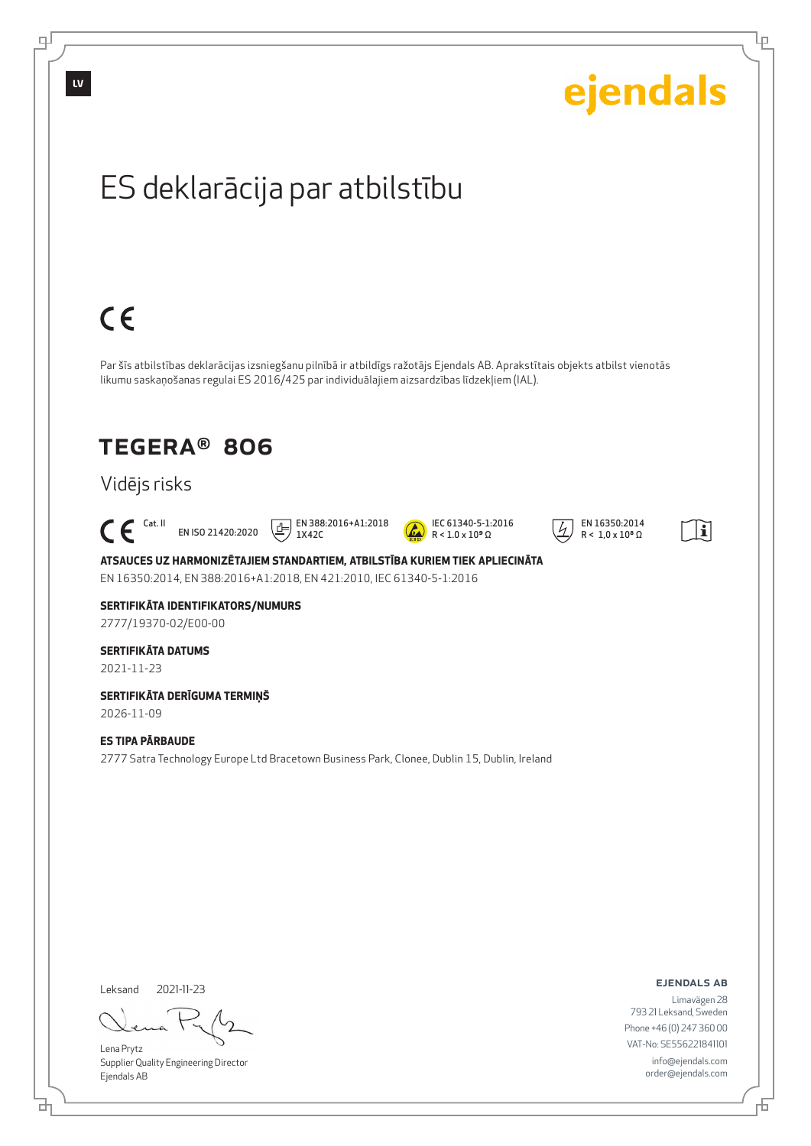

<u>다</u>

Đ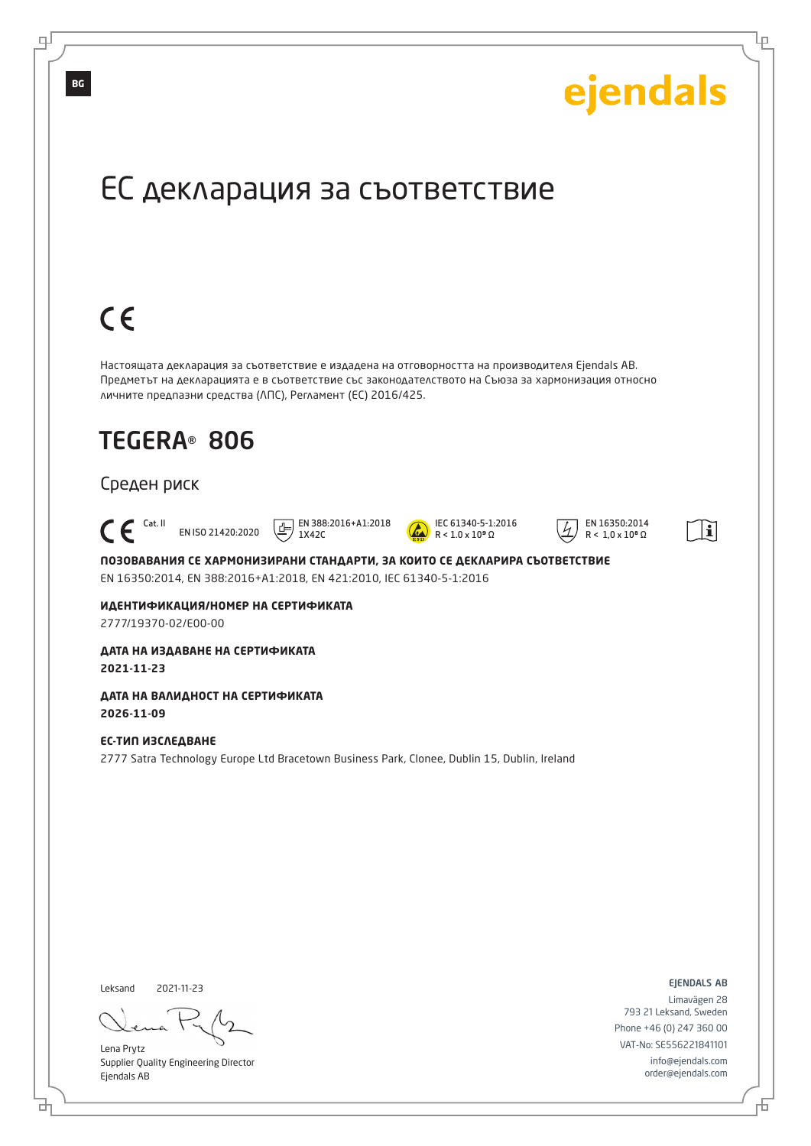

Lena Prytz Supplier Quality Engineering Director Ejendals AB

브

டி

info@ejendals.com order@ejendals.com

Đ